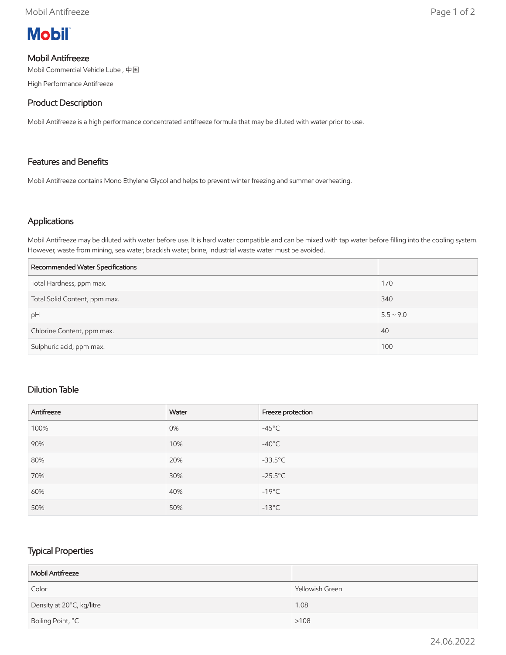

## Mobil Antifreeze

Mobil Commercial Vehicle Lube , 中国

High Performance Antifreeze

# Product Description

Mobil Antifreeze is a high performance concentrated antifreeze formula that may be diluted with water prior to use.

## Features and Benefits

Mobil Antifreeze contains Mono Ethylene Glycol and helps to prevent winter freezing and summer overheating.

### Applications

Mobil Antifreeze may be diluted with water before use. It is hard water compatible and can be mixed with tap water before filling into the cooling system. However, waste from mining, sea water, brackish water, brine, industrial waste water must be avoided.

| Recommended Water Specifications |                |
|----------------------------------|----------------|
| Total Hardness, ppm max.         | 170            |
| Total Solid Content, ppm max.    | 340            |
| рH                               | $5.5 \sim 9.0$ |
| Chlorine Content, ppm max.       | 40             |
| Sulphuric acid, ppm max.         | 100            |

### Dilution Table

| Antifreeze | Water | Freeze protection |
|------------|-------|-------------------|
| 100%       | 0%    | $-45^{\circ}$ C   |
| 90%        | 10%   | $-40^{\circ}$ C   |
| 80%        | 20%   | $-33.5^{\circ}$ C |
| 70%        | 30%   | $-25.5^{\circ}$ C |
| 60%        | 40%   | $-19^{\circ}$ C   |
| 50%        | 50%   | $-13^{\circ}$ C   |

### Typical Properties

| <b>Mobil Antifreeze</b>   |                 |
|---------------------------|-----------------|
| Color                     | Yellowish Green |
| Density at 20°C, kg/litre | 1.08            |
| Boiling Point, °C         | >108            |